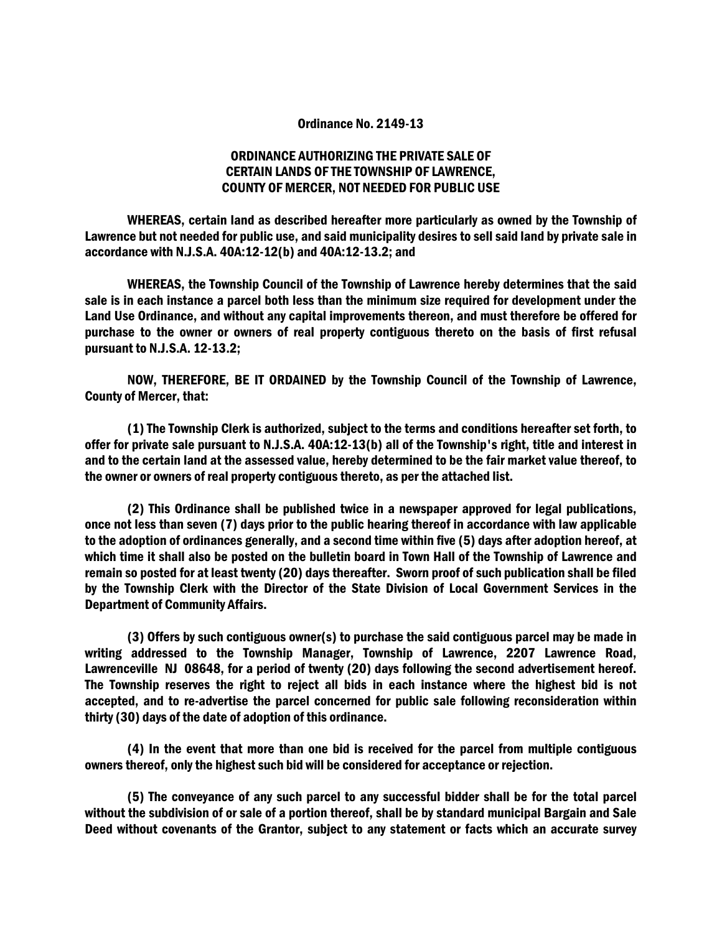## Ordinance No. 2149-13

## ORDINANCE AUTHORIZING THE PRIVATE SALE OF CERTAIN LANDS OF THE TOWNSHIP OF LAWRENCE, COUNTY OF MERCER, NOT NEEDED FOR PUBLIC USE

 WHEREAS, certain land as described hereafter more particularly as owned by the Township of Lawrence but not needed for public use, and said municipality desires to sell said land by private sale in accordance with N.J.S.A. 40A:12-12(b) and 40A:12-13.2; and

 WHEREAS, the Township Council of the Township of Lawrence hereby determines that the said sale is in each instance a parcel both less than the minimum size required for development under the Land Use Ordinance, and without any capital improvements thereon, and must therefore be offered for purchase to the owner or owners of real property contiguous thereto on the basis of first refusal pursuant to N.J.S.A. 12-13.2;

 NOW, THEREFORE, BE IT ORDAINED by the Township Council of the Township of Lawrence, County of Mercer, that:

 (1) The Township Clerk is authorized, subject to the terms and conditions hereafter set forth, to offer for private sale pursuant to N.J.S.A. 40A:12-13(b) all of the Township's right, title and interest in and to the certain land at the assessed value, hereby determined to be the fair market value thereof, to the owner or owners of real property contiguous thereto, as per the attached list.

 (2) This Ordinance shall be published twice in a newspaper approved for legal publications, once not less than seven (7) days prior to the public hearing thereof in accordance with law applicable to the adoption of ordinances generally, and a second time within five (5) days after adoption hereof, at which time it shall also be posted on the bulletin board in Town Hall of the Township of Lawrence and remain so posted for at least twenty (20) days thereafter. Sworn proof of such publication shall be filed by the Township Clerk with the Director of the State Division of Local Government Services in the Department of Community Affairs.

 (3) Offers by such contiguous owner(s) to purchase the said contiguous parcel may be made in writing addressed to the Township Manager, Township of Lawrence, 2207 Lawrence Road, Lawrenceville NJ 08648, for a period of twenty (20) days following the second advertisement hereof. The Township reserves the right to reject all bids in each instance where the highest bid is not accepted, and to re-advertise the parcel concerned for public sale following reconsideration within thirty (30) days of the date of adoption of this ordinance.

 (4) In the event that more than one bid is received for the parcel from multiple contiguous owners thereof, only the highest such bid will be considered for acceptance or rejection.

 (5) The conveyance of any such parcel to any successful bidder shall be for the total parcel without the subdivision of or sale of a portion thereof, shall be by standard municipal Bargain and Sale Deed without covenants of the Grantor, subject to any statement or facts which an accurate survey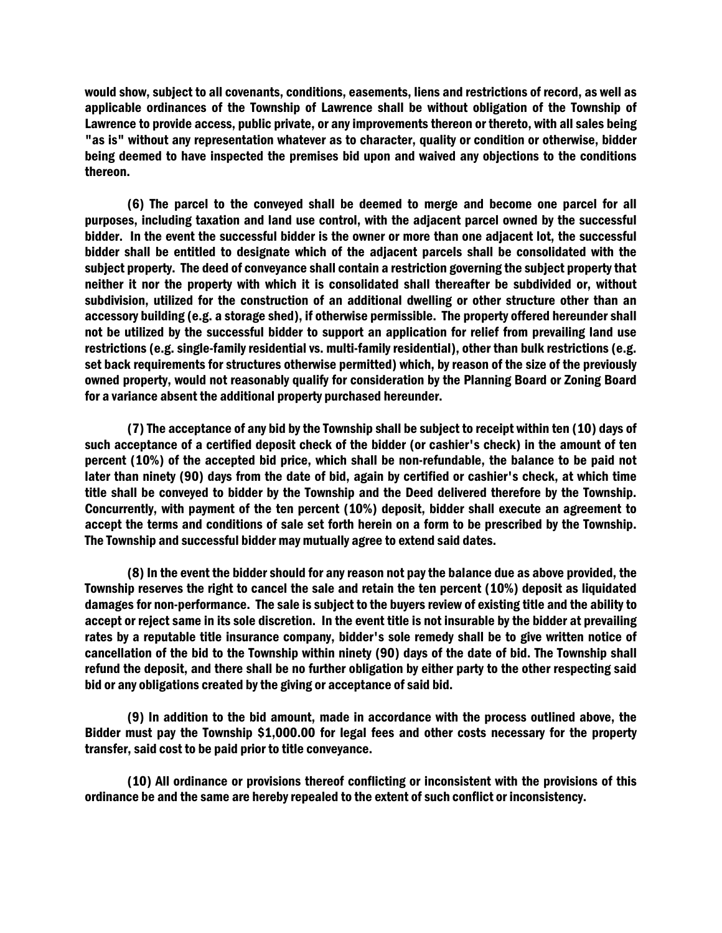would show, subject to all covenants, conditions, easements, liens and restrictions of record, as well as applicable ordinances of the Township of Lawrence shall be without obligation of the Township of Lawrence to provide access, public private, or any improvements thereon or thereto, with all sales being "as is" without any representation whatever as to character, quality or condition or otherwise, bidder being deemed to have inspected the premises bid upon and waived any objections to the conditions thereon.

 (6) The parcel to the conveyed shall be deemed to merge and become one parcel for all purposes, including taxation and land use control, with the adjacent parcel owned by the successful bidder. In the event the successful bidder is the owner or more than one adjacent lot, the successful bidder shall be entitled to designate which of the adjacent parcels shall be consolidated with the subject property. The deed of conveyance shall contain a restriction governing the subject property that neither it nor the property with which it is consolidated shall thereafter be subdivided or, without subdivision, utilized for the construction of an additional dwelling or other structure other than an accessory building (e.g. a storage shed), if otherwise permissible. The property offered hereunder shall not be utilized by the successful bidder to support an application for relief from prevailing land use restrictions (e.g. single-family residential vs. multi-family residential), other than bulk restrictions (e.g. set back requirements for structures otherwise permitted) which, by reason of the size of the previously owned property, would not reasonably qualify for consideration by the Planning Board or Zoning Board for a variance absent the additional property purchased hereunder.

 (7) The acceptance of any bid by the Township shall be subject to receipt within ten (10) days of such acceptance of a certified deposit check of the bidder (or cashier's check) in the amount of ten percent (10%) of the accepted bid price, which shall be non-refundable, the balance to be paid not later than ninety (90) days from the date of bid, again by certified or cashier's check, at which time title shall be conveyed to bidder by the Township and the Deed delivered therefore by the Township. Concurrently, with payment of the ten percent (10%) deposit, bidder shall execute an agreement to accept the terms and conditions of sale set forth herein on a form to be prescribed by the Township. The Township and successful bidder may mutually agree to extend said dates.

 (8) In the event the bidder should for any reason not pay the balance due as above provided, the Township reserves the right to cancel the sale and retain the ten percent (10%) deposit as liquidated damages for non-performance. The sale is subject to the buyers review of existing title and the ability to accept or reject same in its sole discretion. In the event title is not insurable by the bidder at prevailing rates by a reputable title insurance company, bidder's sole remedy shall be to give written notice of cancellation of the bid to the Township within ninety (90) days of the date of bid. The Township shall refund the deposit, and there shall be no further obligation by either party to the other respecting said bid or any obligations created by the giving or acceptance of said bid.

 (9) In addition to the bid amount, made in accordance with the process outlined above, the Bidder must pay the Township \$1,000.00 for legal fees and other costs necessary for the property transfer, said cost to be paid prior to title conveyance.

 (10) All ordinance or provisions thereof conflicting or inconsistent with the provisions of this ordinance be and the same are hereby repealed to the extent of such conflict or inconsistency.